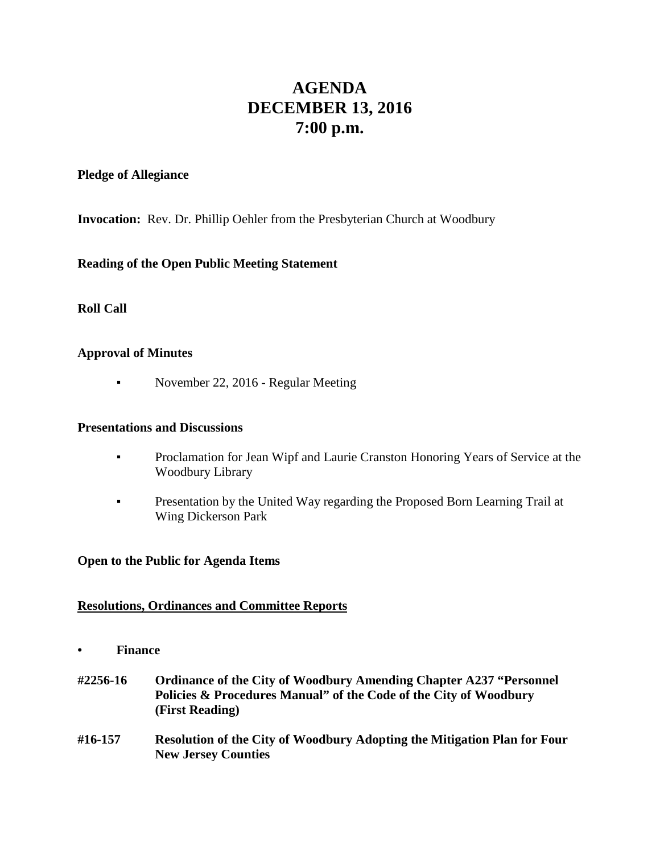# **AGENDA DECEMBER 13, 2016 7:00 p.m.**

#### **Pledge of Allegiance**

**Invocation:** Rev. Dr. Phillip Oehler from the Presbyterian Church at Woodbury

#### **Reading of the Open Public Meeting Statement**

**Roll Call**

#### **Approval of Minutes**

• November 22, 2016 - Regular Meeting

#### **Presentations and Discussions**

- **•** Proclamation for Jean Wipf and Laurie Cranston Honoring Years of Service at the Woodbury Library
- **Presentation by the United Way regarding the Proposed Born Learning Trail at** Wing Dickerson Park

#### **Open to the Public for Agenda Items**

#### **Resolutions, Ordinances and Committee Reports**

- **• Finance**
- **#2256-16 Ordinance of the City of Woodbury Amending Chapter A237 "Personnel Policies & Procedures Manual" of the Code of the City of Woodbury (First Reading)**
- **#16-157 Resolution of the City of Woodbury Adopting the Mitigation Plan for Four New Jersey Counties**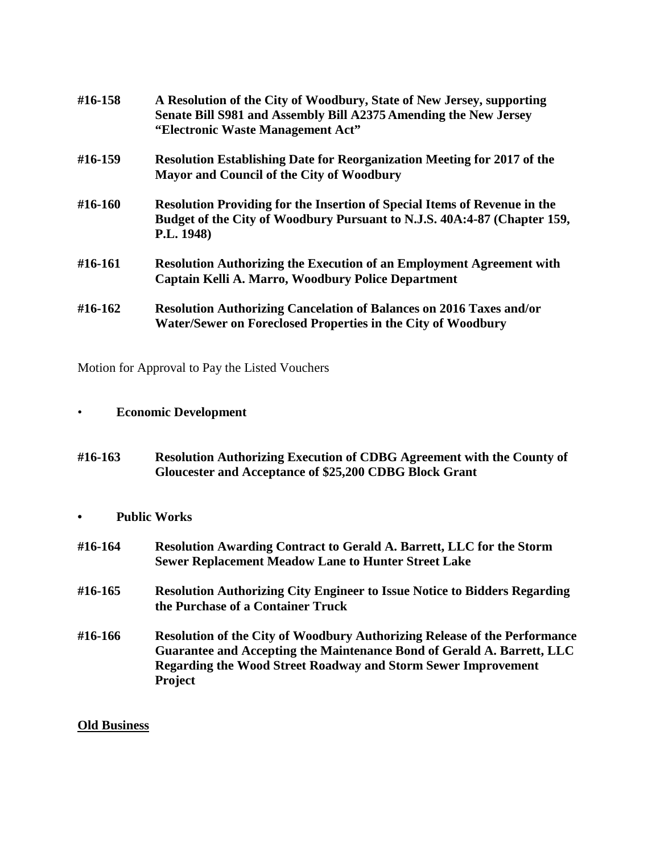| #16-158 | A Resolution of the City of Woodbury, State of New Jersey, supporting<br>Senate Bill S981 and Assembly Bill A2375 Amending the New Jersey<br>"Electronic Waste Management Act" |
|---------|--------------------------------------------------------------------------------------------------------------------------------------------------------------------------------|
| #16-159 | <b>Resolution Establishing Date for Reorganization Meeting for 2017 of the</b><br>Mayor and Council of the City of Woodbury                                                    |
| #16-160 | <b>Resolution Providing for the Insertion of Special Items of Revenue in the</b><br>Budget of the City of Woodbury Pursuant to N.J.S. 40A:4-87 (Chapter 159,<br>P.L. 1948)     |
| #16-161 | <b>Resolution Authorizing the Execution of an Employment Agreement with</b><br>Captain Kelli A. Marro, Woodbury Police Department                                              |
| #16-162 | <b>Resolution Authorizing Cancelation of Balances on 2016 Taxes and/or</b><br>Water/Sewer on Foreclosed Properties in the City of Woodbury                                     |

Motion for Approval to Pay the Listed Vouchers

## • **Economic Development**

- **#16-163 Resolution Authorizing Execution of CDBG Agreement with the County of Gloucester and Acceptance of \$25,200 CDBG Block Grant**
- **• Public Works**

| #16-164 | <b>Resolution Awarding Contract to Gerald A. Barrett, LLC for the Storm</b><br><b>Sewer Replacement Meadow Lane to Hunter Street Lake</b>                                                                                                            |
|---------|------------------------------------------------------------------------------------------------------------------------------------------------------------------------------------------------------------------------------------------------------|
| #16-165 | <b>Resolution Authorizing City Engineer to Issue Notice to Bidders Regarding</b><br>the Purchase of a Container Truck                                                                                                                                |
| #16-166 | <b>Resolution of the City of Woodbury Authorizing Release of the Performance</b><br>Guarantee and Accepting the Maintenance Bond of Gerald A. Barrett, LLC<br><b>Regarding the Wood Street Roadway and Storm Sewer Improvement</b><br><b>Project</b> |

### **Old Business**